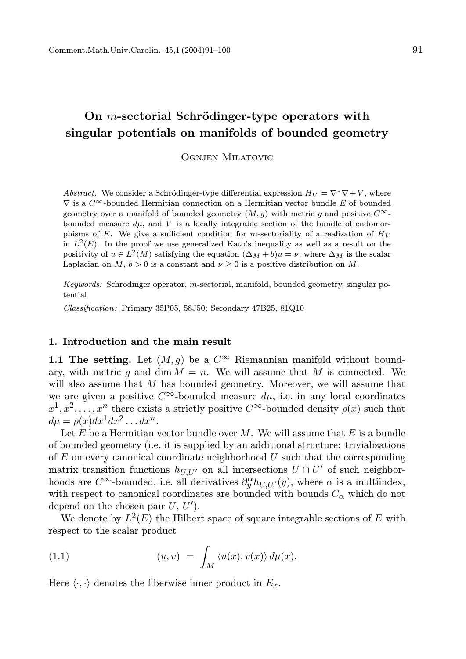# On  $m$ -sectorial Schrödinger-type operators with singular potentials on manifolds of bounded geometry

Ognjen Milatovic

Abstract. We consider a Schrödinger-type differential expression  $H_V = \nabla^* \nabla + V$ , where  $\nabla$  is a  $C^{\infty}$ -bounded Hermitian connection on a Hermitian vector bundle E of bounded geometry over a manifold of bounded geometry  $(M, q)$  with metric q and positive  $C^{\infty}$ bounded measure  $d\mu$ , and V is a locally integrable section of the bundle of endomorphisms of E. We give a sufficient condition for m-sectoriality of a realization of  $H_V$ in  $L^2(E)$ . In the proof we use generalized Kato's inequality as well as a result on the positivity of  $u \in L^2(M)$  satisfying the equation  $(\Delta_M + b)u = \nu$ , where  $\Delta_M$  is the scalar Laplacian on  $M, b > 0$  is a constant and  $\nu \geq 0$  is a positive distribution on M.

Keywords: Schrödinger operator, m-sectorial, manifold, bounded geometry, singular potential

Classification: Primary 35P05, 58J50; Secondary 47B25, 81Q10

# 1. Introduction and the main result

**1.1 The setting.** Let  $(M, q)$  be a  $C^{\infty}$  Riemannian manifold without boundary, with metric g and dim  $M = n$ . We will assume that M is connected. We will also assume that  $M$  has bounded geometry. Moreover, we will assume that we are given a positive C<sup>∞</sup>-bounded measure  $du$ , i.e. in any local coordinates  $x^1, x^2, \ldots, x^n$  there exists a strictly positive  $C^{\infty}$ -bounded density  $\rho(x)$  such that  $d\mu = \rho(x)dx^1 dx^2 \dots dx^n$ .

Let  $E$  be a Hermitian vector bundle over  $M$ . We will assume that  $E$  is a bundle of bounded geometry (i.e. it is supplied by an additional structure: trivializations of  $E$  on every canonical coordinate neighborhood  $U$  such that the corresponding matrix transition functions  $h_{U,U'}$  on all intersections  $U \cap U'$  of such neighborhoods are  $C^{\infty}$ -bounded, i.e. all derivatives  $\partial_y^{\alpha} h_{U,U'}(y)$ , where  $\alpha$  is a multiindex, with respect to canonical coordinates are bounded with bounds  $C_{\alpha}$  which do not depend on the chosen pair  $U, U'$ .

We denote by  $L^2(E)$  the Hilbert space of square integrable sections of E with respect to the scalar product

(1.1) 
$$
(u,v) = \int_M \langle u(x), v(x) \rangle d\mu(x).
$$

Here  $\langle \cdot, \cdot \rangle$  denotes the fiberwise inner product in  $E_x$ .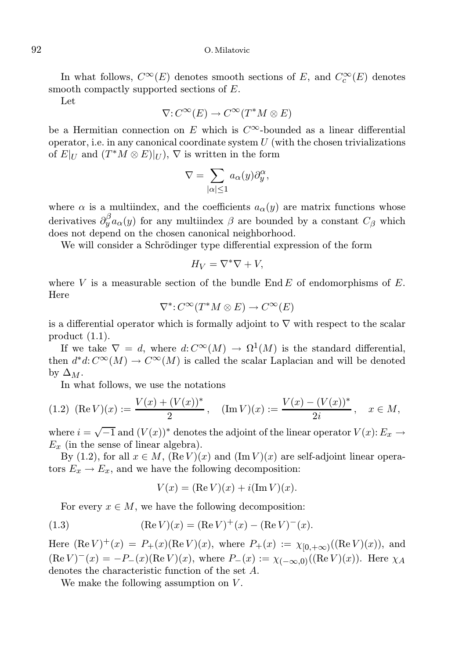# 92 O. Milatovic

In what follows,  $C^{\infty}(E)$  denotes smooth sections of E, and  $C_c^{\infty}(E)$  denotes smooth compactly supported sections of E.

Let

$$
\nabla: C^{\infty}(E) \to C^{\infty}(T^*M \otimes E)
$$

be a Hermitian connection on E which is  $C^{\infty}$ -bounded as a linear differential operator, i.e. in any canonical coordinate system  $U$  (with the chosen trivializations of  $E|_U$  and  $(T^*M \otimes E)|_U)$ ,  $\nabla$  is written in the form

$$
\nabla = \sum_{|\alpha| \le 1} a_{\alpha}(y) \partial_y^{\alpha},
$$

where  $\alpha$  is a multiindex, and the coefficients  $a_{\alpha}(y)$  are matrix functions whose derivatives  $\partial_y^{\beta} a_{\alpha}(y)$  for any multiindex  $\beta$  are bounded by a constant  $C_{\beta}$  which does not depend on the chosen canonical neighborhood.

We will consider a Schrödinger type differential expression of the form

$$
H_V = \nabla^* \nabla + V,
$$

where V is a measurable section of the bundle  $\text{End }E$  of endomorphisms of E. Here

$$
\nabla^* \colon C^\infty(T^*M \otimes E) \to C^\infty(E)
$$

is a differential operator which is formally adjoint to  $\nabla$  with respect to the scalar product (1.1).

If we take  $\nabla = d$ , where  $d: C^{\infty}(M) \to \Omega^1(M)$  is the standard differential, then  $d^*d: C^{\infty}(M) \to C^{\infty}(M)$  is called the scalar Laplacian and will be denoted by  $\Delta_M$ .

In what follows, we use the notations

$$
(1.2) \ \ (\mathrm{Re}\,V)(x) := \frac{V(x) + (V(x))^*}{2}, \quad (\mathrm{Im}\,V)(x) := \frac{V(x) - (V(x))^*}{2i}, \quad x \in M,
$$

where  $i = \sqrt{-1}$  and  $(V(x))^*$  denotes the adjoint of the linear operator  $V(x)$ :  $E_x \rightarrow$  $E_x$  (in the sense of linear algebra).

By (1.2), for all  $x \in M$ ,  $(\text{Re } V)(x)$  and  $(\text{Im } V)(x)$  are self-adjoint linear operators  $E_x \to E_x$ , and we have the following decomposition:

$$
V(x) = (\operatorname{Re} V)(x) + i(\operatorname{Im} V)(x).
$$

For every  $x \in M$ , we have the following decomposition:

(1.3) 
$$
(\text{Re } V)(x) = (\text{Re } V)^{+}(x) - (\text{Re } V)^{-}(x).
$$

Here  $(\text{Re } V)^+(x) = P_+(x)(\text{Re } V)(x)$ , where  $P_+(x) := \chi_{[0, +\infty)}((\text{Re } V)(x))$ , and  $(\text{Re } V)^{-}(x) = -P_{-}(x)(\text{Re } V)(x)$ , where  $P_{-}(x) := \chi_{(-\infty,0)}((\text{Re } V)(x))$ . Here  $\chi_A$ denotes the characteristic function of the set A.

We make the following assumption on  $V$ .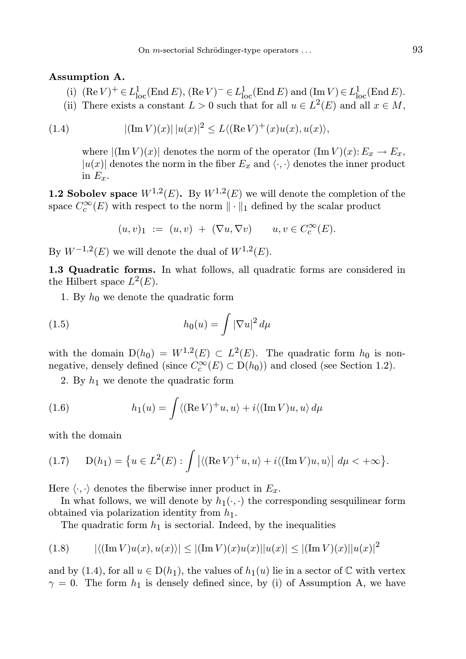#### Assumption A.

- (i)  $(\text{Re } V)^+ \in L^1_{loc}(\text{End } E)$ ,  $(\text{Re } V)^- \in L^1_{loc}(\text{End } E)$  and  $(\text{Im } V) \in L^1_{loc}(\text{End } E)$ .
- (ii) There exists a constant  $L > 0$  such that for all  $u \in L^2(E)$  and all  $x \in M$ ,

(1.4) 
$$
|(\text{Im } V)(x)| \, |u(x)|^2 \le L \langle (\text{Re } V)^{+}(x)u(x), u(x) \rangle,
$$

where  $|(\text{Im }V)(x)|$  denotes the norm of the operator  $(\text{Im }V)(x): E_x \to E_x$ ,  $|u(x)|$  denotes the norm in the fiber  $E_x$  and  $\langle \cdot, \cdot \rangle$  denotes the inner product in  $E_x$ .

**1.2 Sobolev space**  $W^{1,2}(E)$ . By  $W^{1,2}(E)$  we will denote the completion of the space  $C_c^{\infty}(E)$  with respect to the norm  $\|\cdot\|_1$  defined by the scalar product

$$
(u,v)_1 := (u,v) + (\nabla u, \nabla v) \qquad u, v \in C_c^{\infty}(E).
$$

By  $W^{-1,2}(E)$  we will denote the dual of  $W^{1,2}(E)$ .

1.3 Quadratic forms. In what follows, all quadratic forms are considered in the Hilbert space  $L^2(E)$ .

1. By  $h_0$  we denote the quadratic form

(1.5) 
$$
h_0(u) = \int |\nabla u|^2 d\mu
$$

with the domain  $D(h_0) = W^{1,2}(E) \subset L^2(E)$ . The quadratic form  $h_0$  is nonnegative, densely defined (since  $C_c^{\infty}(E) \subset D(h_0)$ ) and closed (see Section 1.2).

2. By  $h_1$  we denote the quadratic form

(1.6) 
$$
h_1(u) = \int \langle (\text{Re } V)^+ u, u \rangle + i \langle (\text{Im } V)u, u \rangle d\mu
$$

with the domain

$$
(1.7) \qquad D(h_1) = \left\{ u \in L^2(E) : \int \left| \langle (\mathrm{Re}\, V)^+ u, u \rangle + i \langle (\mathrm{Im}\, V) u, u \rangle \right| \, d\mu < +\infty \right\}.
$$

Here  $\langle \cdot, \cdot \rangle$  denotes the fiberwise inner product in  $E_x$ .

In what follows, we will denote by  $h_1(\cdot, \cdot)$  the corresponding sesquilinear form obtained via polarization identity from  $h_1$ .

The quadratic form  $h_1$  is sectorial. Indeed, by the inequalities

$$
(1.8) \qquad |\langle (\text{Im } V)u(x), u(x) \rangle| \le |(\text{Im } V)(x)u(x)||u(x)| \le |(\text{Im } V)(x)||u(x)|^2
$$

and by (1.4), for all  $u \in D(h_1)$ , the values of  $h_1(u)$  lie in a sector of  $\mathbb C$  with vertex  $\gamma = 0$ . The form  $h_1$  is densely defined since, by (i) of Assumption A, we have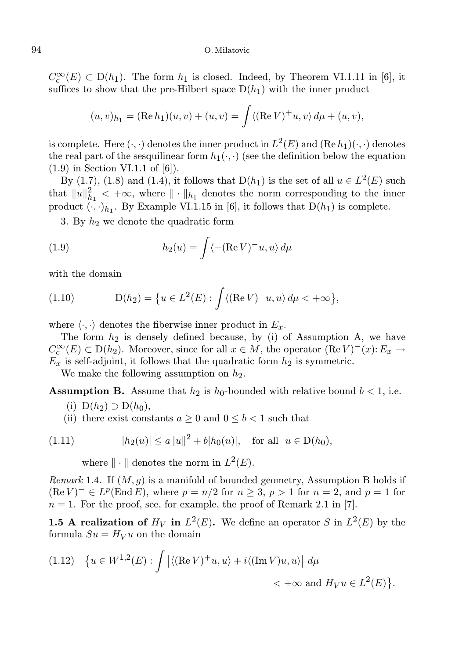$C_c^{\infty}(E) \subset D(h_1)$ . The form  $h_1$  is closed. Indeed, by Theorem VI.1.11 in [6], it suffices to show that the pre-Hilbert space  $D(h_1)$  with the inner product

$$
(u, v)_{h_1} = (\text{Re } h_1)(u, v) + (u, v) = \int \langle (\text{Re } V)^{+} u, v \rangle d\mu + (u, v),
$$

is complete. Here  $(\cdot, \cdot)$  denotes the inner product in  $L^2(E)$  and  $(\text{Re } h_1)(\cdot, \cdot)$  denotes the real part of the sesquilinear form  $h_1(\cdot, \cdot)$  (see the definition below the equation  $(1.9)$  in Section VI.1.1 of [6]).

By (1.7), (1.8) and (1.4), it follows that  $D(h_1)$  is the set of all  $u \in L^2(E)$  such that  $||u||_{h_1}^2 < +\infty$ , where  $|| \cdot ||_{h_1}$  denotes the norm corresponding to the inner product  $(\cdot, \cdot)_{h_1}$ . By Example VI.1.15 in [6], it follows that  $D(h_1)$  is complete.

3. By  $h_2$  we denote the quadratic form

(1.9) 
$$
h_2(u) = \int \langle -(Re V)^{-}u, u \rangle d\mu
$$

with the domain

(1.10) 
$$
D(h_2) = \{u \in L^2(E) : \int \langle (\text{Re}\,V)^{-}u, u \rangle \, d\mu < +\infty \},
$$

where  $\langle \cdot, \cdot \rangle$  denotes the fiberwise inner product in  $E_x$ .

The form  $h_2$  is densely defined because, by (i) of Assumption A, we have  $C_c^{\infty}(E) \subset D(h_2)$ . Moreover, since for all  $x \in M$ , the operator  $(\text{Re } V)^{-1}(x): E_x \to$  $E_x$  is self-adjoint, it follows that the quadratic form  $h_2$  is symmetric.

We make the following assumption on  $h_2$ .

**Assumption B.** Assume that  $h_2$  is  $h_0$ -bounded with relative bound  $b < 1$ , i.e.

- (i)  $D(h_2) \supset D(h_0)$ ,
- (ii) there exist constants  $a \geq 0$  and  $0 \leq b < 1$  such that

(1.11) 
$$
|h_2(u)| \le a||u||^2 + b|h_0(u)|, \text{ for all } u \in D(h_0),
$$

where  $\|\cdot\|$  denotes the norm in  $L^2(E)$ .

*Remark* 1.4. If  $(M, g)$  is a manifold of bounded geometry, Assumption B holds if  $(\text{Re } V)^{-} \in L^{p}(\text{End } E)$ , where  $p = n/2$  for  $n \geq 3$ ,  $p > 1$  for  $n = 2$ , and  $p = 1$  for  $n = 1$ . For the proof, see, for example, the proof of Remark 2.1 in [7].

**1.5 A realization of**  $H_V$  in  $L^2(E)$ . We define an operator S in  $L^2(E)$  by the formula  $Su = H_V u$  on the domain

$$
(1.12) \quad \left\{ u \in W^{1,2}(E) : \int \left| \langle (\mathrm{Re}\, V)^+ u, u \rangle + i \langle (\mathrm{Im}\, V)u, u \rangle \right| \, d\mu \right\} < +\infty \text{ and } H_V u \in L^2(E) \right\}.
$$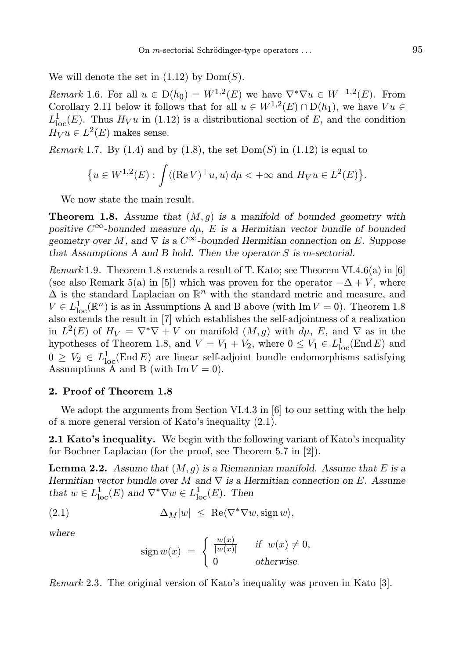We will denote the set in  $(1.12)$  by  $Dom(S)$ .

*Remark* 1.6. For all  $u \in D(h_0) = W^{1,2}(E)$  we have  $\nabla^* \nabla u \in W^{-1,2}(E)$ . From Corollary 2.11 below it follows that for all  $u \in W^{1,2}(E) \cap D(h_1)$ , we have  $Vu \in$  $L^1_{loc}(E)$ . Thus  $H_V u$  in (1.12) is a distributional section of E, and the condition  $H_V u \in L^2(E)$  makes sense.

*Remark* 1.7. By (1.4) and by (1.8), the set  $Dom(S)$  in (1.12) is equal to

$$
\{u \in W^{1,2}(E) : \int \langle (\mathrm{Re}\, V)^+ u, u \rangle \, d\mu < +\infty \text{ and } H_V u \in L^2(E) \}.
$$

We now state the main result.

**Theorem 1.8.** Assume that  $(M, q)$  is a manifold of bounded geometry with positive  $C^{\infty}$ -bounded measure  $d\mu$ , E is a Hermitian vector bundle of bounded geometry over M, and  $\nabla$  is a  $C^{\infty}$ -bounded Hermitian connection on E. Suppose that Assumptions A and B hold. Then the operator  $S$  is m-sectorial.

*Remark* 1.9. Theorem 1.8 extends a result of T. Kato; see Theorem VI.4.6(a) in [6] (see also Remark 5(a) in [5]) which was proven for the operator  $-\Delta + V$ , where  $\Delta$  is the standard Laplacian on  $\mathbb{R}^n$  with the standard metric and measure, and  $V \in L^1_{loc}(\mathbb{R}^n)$  is as in Assumptions A and B above (with Im  $V = 0$ ). Theorem 1.8 also extends the result in [7] which establishes the self-adjointness of a realization in  $L^2(E)$  of  $H_V = \nabla^* \nabla + V$  on manifold  $(M, g)$  with  $d\mu$ , E, and  $\nabla$  as in the hypotheses of Theorem 1.8, and  $V = V_1 + V_2$ , where  $0 \le V_1 \in L^1_{loc}(\text{End } E)$  and  $0 \geq V_2 \in L^1_{loc}(\text{End } E)$  are linear self-adjoint bundle endomorphisms satisfying Assumptions A and B (with  $\text{Im } V = 0$ ).

# 2. Proof of Theorem 1.8

We adopt the arguments from Section VI.4.3 in [6] to our setting with the help of a more general version of Kato's inequality (2.1).

2.1 Kato's inequality. We begin with the following variant of Kato's inequality for Bochner Laplacian (for the proof, see Theorem 5.7 in [2]).

**Lemma 2.2.** Assume that  $(M, g)$  is a Riemannian manifold. Assume that E is a Hermitian vector bundle over M and  $\nabla$  is a Hermitian connection on E. Assume that  $w \in L^1_{loc}(E)$  and  $\nabla^* \nabla w \in L^1_{loc}(E)$ . Then

(2.1) 
$$
\Delta_M |w| \leq \operatorname{Re} \langle \nabla^* \nabla w, \operatorname{sign} w \rangle,
$$

where

$$
sign w(x) = \begin{cases} \frac{w(x)}{|w(x)|} & \text{if } w(x) \neq 0, \\ 0 & \text{otherwise.} \end{cases}
$$

Remark 2.3. The original version of Kato's inequality was proven in Kato [3].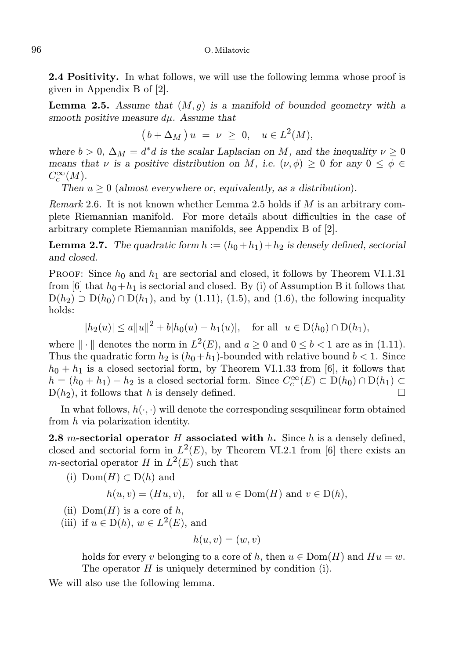2.4 Positivity. In what follows, we will use the following lemma whose proof is given in Appendix B of [2].

**Lemma 2.5.** Assume that  $(M, g)$  is a manifold of bounded geometry with a smooth positive measure  $d\mu$ . Assume that

$$
(b + \Delta_M) u = \nu \geq 0, \quad u \in L^2(M),
$$

where  $b > 0$ ,  $\Delta_M = d^*d$  is the scalar Laplacian on M, and the inequality  $\nu \geq 0$ means that  $\nu$  is a positive distribution on M, i.e.  $(\nu, \phi) \geq 0$  for any  $0 \leq \phi \in$  $C_c^{\infty}(M)$ .

Then  $u \geq 0$  (almost everywhere or, equivalently, as a distribution).

*Remark* 2.6. It is not known whether Lemma 2.5 holds if M is an arbitrary complete Riemannian manifold. For more details about difficulties in the case of arbitrary complete Riemannian manifolds, see Appendix B of [2].

**Lemma 2.7.** The quadratic form  $h := (h_0 + h_1) + h_2$  is densely defined, sectorial and closed.

PROOF: Since  $h_0$  and  $h_1$  are sectorial and closed, it follows by Theorem VI.1.31 from [6] that  $h_0+h_1$  is sectorial and closed. By (i) of Assumption B it follows that  $D(h_2) \supset D(h_0) \cap D(h_1)$ , and by (1.11), (1.5), and (1.6), the following inequality holds:

$$
|h_2(u)| \le a||u||^2 + b|h_0(u) + h_1(u)|, \text{ for all } u \in D(h_0) \cap D(h_1),
$$

where  $\|\cdot\|$  denotes the norm in  $L^2(E)$ , and  $a \ge 0$  and  $0 \le b < 1$  are as in (1.11). Thus the quadratic form  $h_2$  is  $(h_0+h_1)$ -bounded with relative bound  $b < 1$ . Since  $h_0 + h_1$  is a closed sectorial form, by Theorem VI.1.33 from [6], it follows that  $h = (h_0 + h_1) + h_2$  is a closed sectorial form. Since  $C_c^{\infty}(E) \subset D(h_0) \cap D(h_1) \subset$  $D(h_2)$ , it follows that h is densely defined.

In what follows,  $h(\cdot, \cdot)$  will denote the corresponding sesquilinear form obtained from h via polarization identity.

2.8 m-sectorial operator H associated with  $h$ . Since h is a densely defined, closed and sectorial form in  $L^2(E)$ , by Theorem VI.2.1 from [6] there exists an *m*-sectorial operator H in  $L^2(E)$  such that

(i) 
$$
\text{Dom}(H) \subset D(h)
$$
 and

 $h(u, v) = (Hu, v)$ , for all  $u \in Dom(H)$  and  $v \in D(h)$ ,

- (ii)  $Dom(H)$  is a core of h,
- (iii) if  $u \in D(h)$ ,  $w \in L^2(E)$ , and

$$
h(u,v)=(w,v)
$$

holds for every v belonging to a core of h, then  $u \in Dom(H)$  and  $Hu = w$ . The operator  $H$  is uniquely determined by condition (i).

We will also use the following lemma.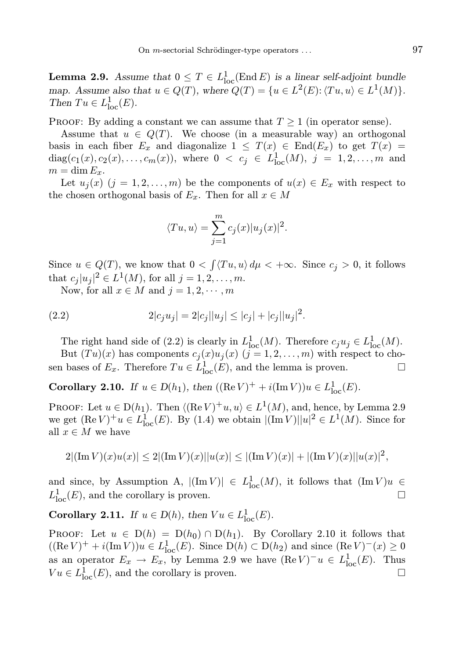**Lemma 2.9.** Assume that  $0 \leq T \in L^1_{loc}(\text{End } E)$  is a linear self-adjoint bundle map. Assume also that  $u \in Q(T)$ , where  $Q(T) = \{u \in L^2(E): \langle Tu, u \rangle \in L^1(M)\}.$ Then  $Tu \in L^1_{loc}(E)$ .

PROOF: By adding a constant we can assume that  $T \geq 1$  (in operator sense).

Assume that  $u \in Q(T)$ . We choose (in a measurable way) an orthogonal basis in each fiber  $E_x$  and diagonalize  $1 \leq T(x) \in End(E_x)$  to get  $T(x) =$  $diag(c_1(x), c_2(x), \ldots, c_m(x)),$  where  $0 < c_j \in L^1_{loc}(M), j = 1, 2, \ldots, m$  and  $m = \dim E_x$ .

Let  $u_i(x)$   $(j = 1, 2, ..., m)$  be the components of  $u(x) \in E_x$  with respect to the chosen orthogonal basis of  $E_x$ . Then for all  $x \in M$ 

$$
\langle Tu, u \rangle = \sum_{j=1}^{m} c_j(x) |u_j(x)|^2.
$$

Since  $u \in Q(T)$ , we know that  $0 < \int \langle Tu, u \rangle d\mu < +\infty$ . Since  $c_j > 0$ , it follows that  $c_j |u_j|^2 \in L^1(M)$ , for all  $j = 1, 2, ..., m$ .

Now, for all  $x \in M$  and  $j = 1, 2, \dots, m$ 

(2.2) 
$$
2|c_j u_j| = 2|c_j||u_j| \le |c_j| + |c_j||u_j|^2.
$$

The right hand side of (2.2) is clearly in  $L^1_{loc}(M)$ . Therefore  $c_ju_j \in L^1_{loc}(M)$ .

But  $(Tu)(x)$  has components  $c_j(x)u_j(x)$   $(j = 1, 2, ..., m)$  with respect to chosen bases of  $E_x$ . Therefore  $Tu \in L^1_{loc}(E)$ , and the lemma is proven.

**Corollary 2.10.** If  $u \in D(h_1)$ , then  $((\text{Re } V)^+ + i(\text{Im } V))u \in L^1_{loc}(E)$ .

PROOF: Let  $u \in D(h_1)$ . Then  $\langle (\text{Re } V)^+ u, u \rangle \in L^1(M)$ , and, hence, by Lemma 2.9 we get  $(\text{Re } V)^+ u \in L^1_{loc}(E)$ . By (1.4) we obtain  $|(\text{Im } V)| |u|^2 \in L^1(M)$ . Since for all  $x \in M$  we have

$$
2|(\operatorname{Im} V)(x)u(x)| \le 2|(\operatorname{Im} V)(x)||u(x)| \le |(\operatorname{Im} V)(x)| + |(\operatorname{Im} V)(x)||u(x)|^{2},
$$

and since, by Assumption A,  $|(\text{Im }V)| \in L^1_{loc}(M)$ , it follows that  $(\text{Im }V)u \in$  $L^1_{\text{loc}}(E)$ , and the corollary is proven.

**Corollary 2.11.** If  $u \in D(h)$ , then  $Vu \in L^1_{loc}(E)$ .

PROOF: Let  $u \in D(h) = D(h_0) \cap D(h_1)$ . By Corollary 2.10 it follows that  $((\text{Re }V)^+ + i(\text{Im }V))u \in L^1_{loc}(E)$ . Since  $D(h) \subset D(h_2)$  and since  $(\text{Re }V)^-(x) \ge 0$ as an operator  $E_x \to E_x$ , by Lemma 2.9 we have  $(\text{Re } V)^{-1}u \in L_{\text{loc}}^{1}(E)$ . Thus  $Vu \in L^1_{loc}(E)$ , and the corollary is proven.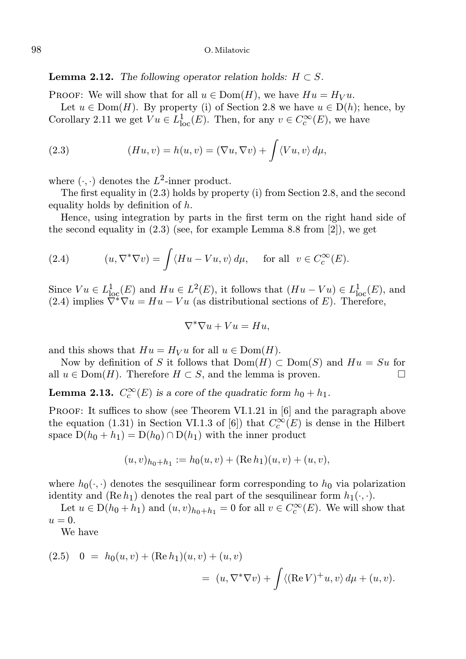**Lemma 2.12.** The following operator relation holds:  $H \subset S$ .

PROOF: We will show that for all  $u \in \text{Dom}(H)$ , we have  $Hu = H_V u$ .

Let  $u \in \text{Dom}(H)$ . By property (i) of Section 2.8 we have  $u \in D(h)$ ; hence, by Corollary 2.11 we get  $Vu \in L^1_{loc}(E)$ . Then, for any  $v \in C_c^{\infty}(E)$ , we have

(2.3) 
$$
(Hu, v) = h(u, v) = (\nabla u, \nabla v) + \int \langle Vu, v \rangle d\mu,
$$

where  $(\cdot, \cdot)$  denotes the  $L^2$ -inner product.

The first equality in (2.3) holds by property (i) from Section 2.8, and the second equality holds by definition of  $h$ .

Hence, using integration by parts in the first term on the right hand side of the second equality in  $(2.3)$  (see, for example Lemma 8.8 from  $[2]$ ), we get

(2.4) 
$$
(u, \nabla^* \nabla v) = \int \langle Hu - Vu, v \rangle d\mu, \quad \text{for all} \ \ v \in C_c^{\infty}(E).
$$

Since  $Vu \in L^1_{loc}(E)$  and  $Hu \in L^2(E)$ , it follows that  $(Hu - Vu) \in L^1_{loc}(E)$ , and (2.4) implies  $\overline{\nabla^* \nabla u} = Hu - Vu$  (as distributional sections of E). Therefore,

$$
\nabla^*\nabla u + Vu = Hu,
$$

and this shows that  $Hu = H_V u$  for all  $u \in Dom(H)$ .

Now by definition of S it follows that  $Dom(H) \subset Dom(S)$  and  $Hu = Su$  for  $u \in Dom(H)$ . Therefore  $H \subset S$  and the lemma is proven all  $u \in \text{Dom}(H)$ . Therefore  $H \subset S$ , and the lemma is proven.

**Lemma 2.13.**  $C_c^{\infty}(E)$  is a core of the quadratic form  $h_0 + h_1$ .

PROOF: It suffices to show (see Theorem VI.1.21 in [6] and the paragraph above the equation (1.31) in Section VI.1.3 of [6]) that  $C_c^{\infty}(E)$  is dense in the Hilbert space  $D(h_0 + h_1) = D(h_0) \cap D(h_1)$  with the inner product

$$
(u,v)_{h_0+h_1} := h_0(u,v) + (\text{Re } h_1)(u,v) + (u,v),
$$

where  $h_0(\cdot, \cdot)$  denotes the sesquilinear form corresponding to  $h_0$  via polarization identity and  $(Re h_1)$  denotes the real part of the sesquilinear form  $h_1(\cdot, \cdot)$ .

Let  $u \in D(h_0 + h_1)$  and  $(u, v)_{h_0 + h_1} = 0$  for all  $v \in C_c^{\infty}(E)$ . We will show that  $u=0.$ 

We have

(2.5) 
$$
0 = h_0(u, v) + (\text{Re } h_1)(u, v) + (u, v)
$$
  
 $= (u, \nabla^* \nabla v) + \int \langle (\text{Re } V)^+ u, v \rangle d\mu + (u, v).$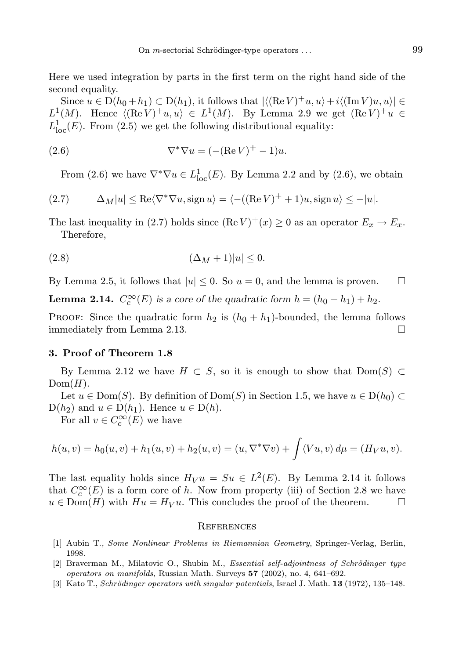Here we used integration by parts in the first term on the right hand side of the second equality.

Since  $u \in D(h_0 + h_1) \subset D(h_1)$ , it follows that  $|\langle (Re V)^+ u, u \rangle + i \langle (Im V)u, u \rangle| \in$  $L^1(M)$ . Hence  $\langle (\text{Re } V)^+ u, u \rangle \in L^1(M)$ . By Lemma 2.9 we get  $(\text{Re } V)^+ u \in$  $L^1_{loc}(E)$ . From (2.5) we get the following distributional equality:

(2.6) 
$$
\nabla^*\nabla u = (-(\text{Re }V)^+ - 1)u.
$$

From (2.6) we have  $\nabla^* \nabla u \in L^1_{loc}(E)$ . By Lemma 2.2 and by (2.6), we obtain

(2.7) 
$$
\Delta_M|u| \le \text{Re}\langle \nabla^* \nabla u, \text{sign } u \rangle = \langle -((\text{Re } V)^+ + 1)u, \text{sign } u \rangle \le -|u|.
$$

The last inequality in (2.7) holds since  $(\text{Re } V)^+(x) \ge 0$  as an operator  $E_x \to E_x$ . Therefore,

$$
(2.8) \qquad \qquad (\Delta_M+1)|u| \leq 0.
$$

By Lemma 2.5, it follows that  $|u| \leq 0$ . So  $u = 0$ , and the lemma is proven.

**Lemma 2.14.**  $C_c^{\infty}(E)$  is a core of the quadratic form  $h = (h_0 + h_1) + h_2$ .

**PROOF:** Since the quadratic form  $h_2$  is  $(h_0 + h_1)$ -bounded, the lemma follows immediately from Lemma 2.13.

# 3. Proof of Theorem 1.8

By Lemma 2.12 we have  $H \subset S$ , so it is enough to show that  $Dom(S) \subset$  $Dom(H)$ .

Let  $u \in \text{Dom}(S)$ . By definition of  $\text{Dom}(S)$  in Section 1.5, we have  $u \in D(h_0) \subset$  $D(h_2)$  and  $u \in D(h_1)$ . Hence  $u \in D(h)$ .

For all  $v \in C_c^{\infty}(E)$  we have

$$
h(u, v) = h_0(u, v) + h_1(u, v) + h_2(u, v) = (u, \nabla^* \nabla v) + \int \langle Vu, v \rangle d\mu = (H_V u, v).
$$

The last equality holds since  $H_V u = Su \in L^2(E)$ . By Lemma 2.14 it follows that  $C_c^{\infty}(E)$  is a form core of h. Now from property (iii) of Section 2.8 we have  $u \in \text{Dom}(H)$  with  $Hu = H_V u$ . This concludes the proof of the theorem.

#### **REFERENCES**

- [1] Aubin T., Some Nonlinear Problems in Riemannian Geometry, Springer-Verlag, Berlin, 1998.
- $[2]$  Braverman M., Milatovic O., Shubin M., *Essential self-adjointness of Schrödinger type* operators on manifolds, Russian Math. Surveys 57 (2002), no. 4, 641–692.
- [3] Kato T., Schrödinger operators with singular potentials, Israel J. Math. **13** (1972), 135–148.